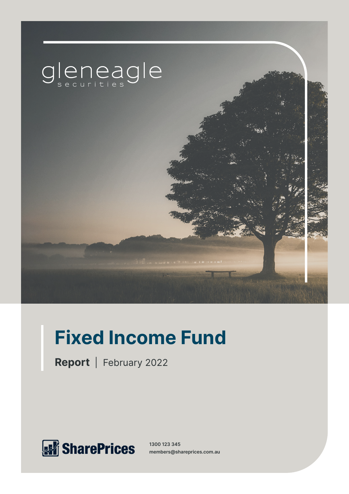

# **Fixed Income Fund**

**Report** | February 2022



**1300 123 345 members@shareprices.com.au**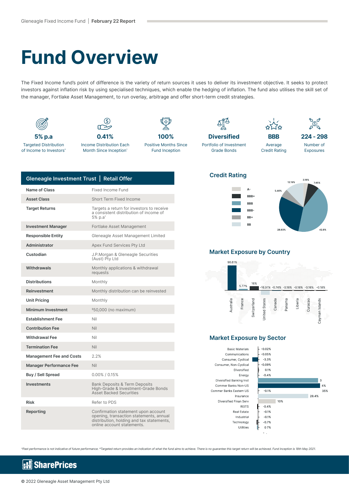# **Fund Overview**

The Fixed Income fund's point of difference is the variety of return sources it uses to deliver its investment objective. It seeks to protect investors against inflation risk by using specialised techniques, which enable the hedging of inflation. The fund also utilises the skill set of the manager, Fortlake Asset Management, to run overlay, arbitrage and offer short-term credit strategies.



| Gleneagle Investment Trust   Retail Offer |                                                                                                                                                           |
|-------------------------------------------|-----------------------------------------------------------------------------------------------------------------------------------------------------------|
| Name of Class                             | Fixed Income Fund                                                                                                                                         |
| <b>Asset Class</b>                        | Short Term Fixed Income                                                                                                                                   |
| <b>Target Returns</b>                     | Targets a return for investors to receive<br>a consistent distribution of income of<br>5% p.a*                                                            |
| <b>Investment Manager</b>                 | Fortlake Asset Management                                                                                                                                 |
| <b>Responsible Entity</b>                 | Gleneagle Asset Management Limited                                                                                                                        |
| Administrator                             | Apex Fund Services Pty Ltd                                                                                                                                |
| Custodian                                 | J.P.Morgan & Gleneagle Securities<br>(Aust) Pty Ltd                                                                                                       |
| Withdrawals                               | Monthly applications & withdrawal<br>requests                                                                                                             |
| <b>Distributions</b>                      | Monthly                                                                                                                                                   |
| Reinvestment                              | Monthly distribution can be reinvested                                                                                                                    |
| <b>Unit Pricing</b>                       | Monthly                                                                                                                                                   |
| <b>Minimum Investment</b>                 | \$50,000 (no maximum)                                                                                                                                     |
| <b>Establishment Fee</b>                  | Nil                                                                                                                                                       |
| <b>Contribution Fee</b>                   | Nil                                                                                                                                                       |
| <b>Withdrawal Fee</b>                     | Nil                                                                                                                                                       |
| <b>Termination Fee</b>                    | Nil                                                                                                                                                       |
| <b>Management Fee and Costs</b>           | 2.2%                                                                                                                                                      |
| <b>Manager Performance Fee</b>            | Nil                                                                                                                                                       |
| Buy / Sell Spread                         | $0.00\%$ / 0.15%                                                                                                                                          |
| <b>Investments</b>                        | <b>Bank Deposits &amp; Term Deposits</b><br>High-Grade & Investment-Grade Bonds<br><b>Asset Backed Securities</b>                                         |
| Risk                                      | Refer to PDS                                                                                                                                              |
| Reporting                                 | Confirmation statement upon account<br>opening, transaction statements, annual<br>distribution, holding and tax statements,<br>online account statements. |

#### **Credit Rating**





#### **Market Exposure by Country**



### **Market Exposure by Sector**

**Basic Materials** Communications Consumer, Cyclical Consumer, Non-Cyclical Diversified Energy Diversified Banking Inst Commer Banks Non-US Commer Banks Eastern US Insurance Diversified Finan Serv REITS Real Estate Industrial Technology Utilities



^Past performance is not indicative of future performance. \*Targeted return provides an indication of what the fund aims to achieve. There is no guarantee this target return will be achieved. Fund inception is 18th May 2021.

#### **SharePrices** k.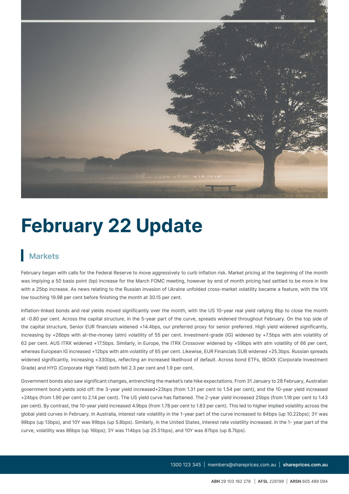

# **February 22 Update**

## **Markets**

February began with calls for the Federal Reserve to move aggressively to curb inflation risk. Market pricing at the beginning of the month was implying a 50 basis point (bp) increase for the March FOMC meeting, however by end of month pricing had settled to be more in line with a 25bp increase. As news relating to the Russian invasion of Ukraine unfolded cross-market volatility became a feature, with the VIX low touching 19.98 per cent before finishing the month at 30.15 per cent.

Inflation-linked bonds and real yields moved significantly over the month, with the US 10-year real yield rallying 8bp to close the month at -0.80 per cent. Across the capital structure, in the 5-year part of the curve, spreads widened throughout February. On the top side of the capital structure, Senior EUR financials widened +14.4bps, our preferred proxy for senior preferred. High yield widened significantly, increasing by +26bps with at-the-money (atm) volatility of 55 per cent. Investment-grade (IG) widened by +7.5bps with atm volatility of 62 per cent. AUS ITRX widened +17.5bps. Similarly, in Europe, the ITRX Crossover widened by +59bps with atm volatility of 66 per cent, whereas European IG increased +12bps with atm volatility of 65 per cent. Likewise, EUR Financials SUB widened +25.3bps. Russian spreads widened significantly, increasing +330bps, reflecting an increased likelihood of default. Across bond ETFs, IBOXX (Corporate Investment Grade) and HYG (Corporate High Yield) both fell 2.3 per cent and 1.9 per cent.

Government bonds also saw significant changes, entrenching the market's rate hike expectations. From 31 January to 28 February, Australian government bond yields sold off: the 3-year yield increased+23bps (from 1.31 per cent to 1.54 per cent), and the 10-year yield increased +24bps (from 1.90 per cent to 2.14 per cent). The US yield curve has flattened. The 2-year yield increased 25bps (from 1.18 per cent to 1.43 per cent). By contrast, the 10-year yield increased 4.9bps (from 1.78 per cent to 1.83 per cent). This led to higher implied volatility across the global yield curves in February. In Australia, interest rate volatility in the 1-year part of the curve increased to 84bps (up 10.22bps); 3Y was 98bps (up 13bps), and 10Y was 99bps (up 5.8bps). Similarly, in the United States, interest rate volatility increased. In the 1- year part of the curve, volatility was 86bps (up 16bps); 3Y was 114bps (up 25.51bps), and 10Y was 87bps (up 8.7bps).